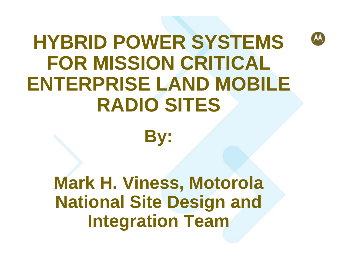# **HYBRID POWER SYSTEMS FOR MISSION CRITICAL ENTERPRISE LAND MOBILE RADIO SITES**

**By:**

**Mark H. Viness, Motorola National Site Design and Integration Team**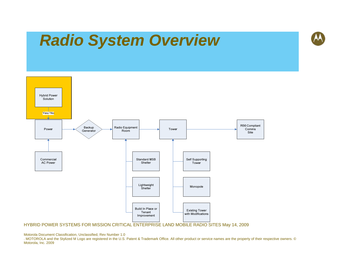## *Radio System Overview*



HYBRID POWER SYSTEMS FOR MISSION CRITICAL ENTERPRISE LAND MOBILE RADIO SITES May 14, 2009

Motorola Document Classification, Unclassified, Rev Number 1.0

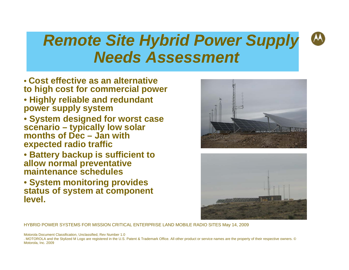## *Remote Site Hybrid Power Supply Needs Assessment*

- **Cost effective as an alternative to high cost for commercial power**
- **Highly reliable and redundant power supply system**
- **System designed for worst case scenario – typically low solar months of Dec – Jan with expected radio traffic**
- **Battery backup is sufficient to allow normal preventative maintenance schedules**
- **System monitoring provides status of system at component level.**





HYBRID POWER SYSTEMS FOR MISSION CRITICAL ENTERPRISE LAND MOBILE RADIO SITES May 14, 2009

Motorola Document Classification, Unclassified, Rev Number 1.0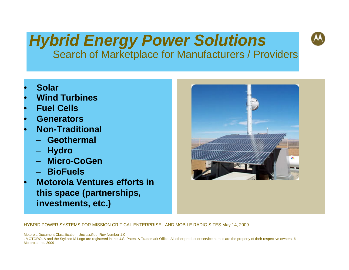### *Hybrid Energy Power Solutions*  Search of Marketplace for Manufacturers / Providers

- **Solar**
- **Wind Turbines**
- **Fuel Cells**
- **Generators**
- **Non-Traditional**
	- **Geothermal**
	- **Hydro**
	- **Micro-CoGen**
	- **BioFuels**
- **Motorola Ventures efforts in this space (partnerships, investments, etc.)**



HYBRID POWER SYSTEMS FOR MISSION CRITICAL ENTERPRISE LAND MOBILE RADIO SITES May 14, 2009

Motorola Document Classification, Unclassified, Rev Number 1.0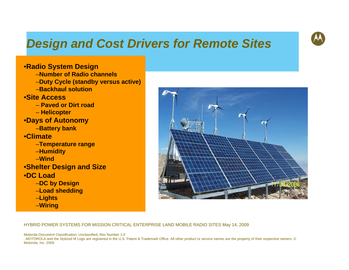### *Design and Cost Drivers for Remote Sites*



#### •**Radio System Design**

–**Number of Radio channels**–**Duty Cycle (standby versus active)** –**Backhaul solution**•**Site Access**– **Paved or Dirt road**– **Helicopter** •**Days of Autonomy** –**Battery bank** •**Climate**  –**Temperature range** –**Humidity** –**Wind**•**Shelter Design and Size** •**DC Load**  –**DC by Design** –**Load shedding** –**Lights** –**Wiring**



HYBRID POWER SYSTEMS FOR MISSION CRITICAL ENTERPRISE LAND MOBILE RADIO SITES May 14, 2009

Motorola Document Classification, Unclassified, Rev Number 1.0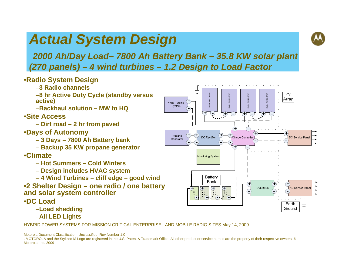## *Actual System Design*



*2000 Ah/Day Load– 7800 Ah Battery Bank – 35.8 KW solar plant (270 panels) – 4 wind turbines – 1.2 Design to Load Factor*

#### •**Radio System Design**

- –**3 Radio channels**
- –**8 hr Active Duty Cycle (standby versus active)**
- –**Backhaul solution MW to HQ**

#### •**Site Access**

- **Dirt road 2 hr from paved**
- •**Days of Autonomy**
	- **3 Days 7800 Ah Battery bank**
	- **Backup 35 KW propane generator**

#### •**Climate**

- **Hot Summers Cold Winters**
- **Design includes HVAC system**
- **4 Wind Turbines cliff edge good wind**
- •**2 Shelter Design one radio / one battery and solar system controller** •**DC Load** 
	- –**Load shedding** –**All LED Lights**

HYBRID POWER SYSTEMS FOR MISSION CRITICAL ENTERPRISE LAND MOBILE RADIO SITES May 14, 2009



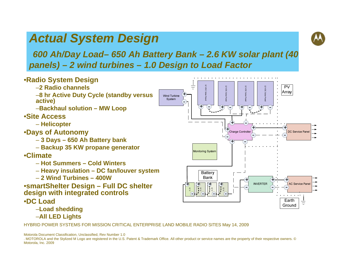### *Actual System Design*



### *600 Ah/Day Load– 650 Ah Battery Bank – 2.6 KW solar plant (40 panels) – 2 wind turbines – 1.0 Design to Load Factor*



–**Load shedding** –**All LED Lights**

HYBRID POWER SYSTEMS FOR MISSION CRITICAL ENTERPRISE LAND MOBILE RADIO SITES May 14, 2009

Motorola Document Classification, Unclassified, Rev Number 1.0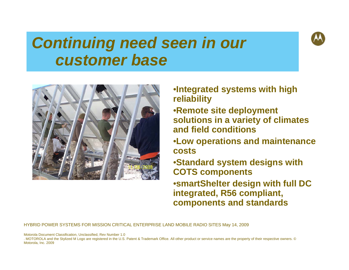## *Continuing need seen in our customer base*



•**Integrated systems with high reliability**

•**Remote site deployment solutions in a variety of climates and field conditions**

•**Low operations and maintenance costs**

•**Standard system designs with COTS components** •**smartShelter design with full DC integrated, R56 compliant, components and standards** 

HYBRID POWER SYSTEMS FOR MISSION CRITICAL ENTERPRISE LAND MOBILE RADIO SITES May 14, 2009

Motorola Document Classification, Unclassified, Rev Number 1.0